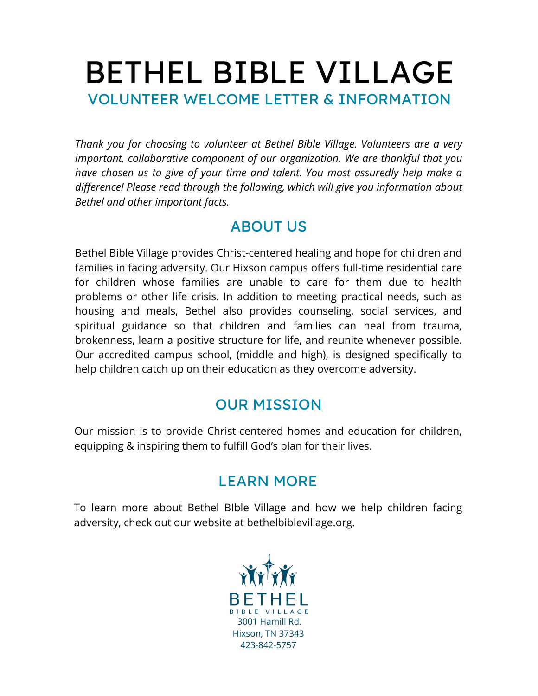# BETHEL BIBLE VILLAGE VOLUNTEER WELCOME LETTER & INFORMATION

*Thank you for choosing to volunteer at Bethel Bible Village. Volunteers are a very important, collaborative component of our organization. We are thankful that you have chosen us to give of your time and talent. You most assuredly help make a difference! Please read through the following, which will give you information about Bethel and other important facts.*

### ABOUT US

Bethel Bible Village provides Christ-centered healing and hope for children and families in facing adversity. Our Hixson campus offers full-time residential care for children whose families are unable to care for them due to health problems or other life crisis. In addition to meeting practical needs, such as housing and meals, Bethel also provides counseling, social services, and spiritual guidance so that children and families can heal from trauma, brokenness, learn a positive structure for life, and reunite whenever possible. Our accredited campus school, (middle and high), is designed specifically to help children catch up on their education as they overcome adversity.

## OUR MISSION

Our mission is to provide Christ-centered homes and education for children, equipping & inspiring them to fulfill God's plan for their lives.

# LEARN MORE

To learn more about Bethel BIble Village and how we help children facing adversity, check out our website at bethelbiblevillage.org.